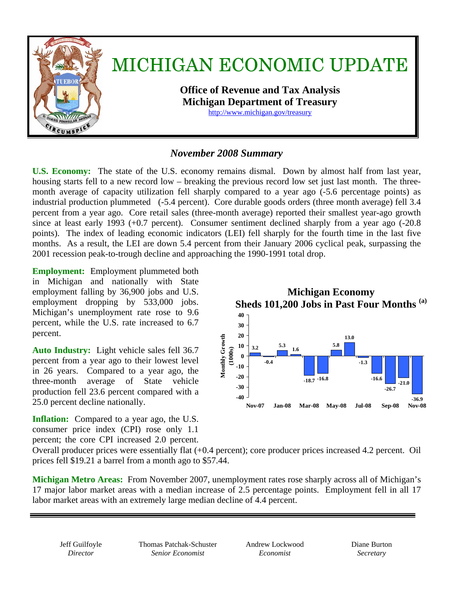

## *November 2008 Summary*

**U.S. Economy:** The state of the U.S. economy remains dismal.Down by almost half from last year, housing starts fell to a new record low – breaking the previous record low set just last month. The threemonth average of capacity utilization fell sharply compared to a year ago (-5.6 percentage points) as industrial production plummeted (-5.4 percent). Core durable goods orders (three month average) fell 3.4 percent from a year ago. Core retail sales (three-month average) reported their smallest year-ago growth since at least early 1993 (+0.7 percent). Consumer sentiment declined sharply from a year ago (-20.8 points).The index of leading economic indicators (LEI) fell sharply for the fourth time in the last five months.As a result, the LEI are down 5.4 percent from their January 2006 cyclical peak, surpassing the 2001 recession peak-to-trough decline and approaching the 1990-1991 total drop.

**Employment:** Employment plummeted both in Michigan and nationally with State employment falling by 36,900 jobs and U.S. employment dropping by 533,000 jobs. Michigan's unemployment rate rose to 9.6 percent, while the U.S. rate increased to 6.7 percent.

**Auto Industry:** Light vehicle sales fell 36.7 percent from a year ago to their lowest level in 26 years.Compared to a year ago, the three-month average of State vehicle production fell 23.6 percent compared with a 25.0 percent decline nationally.

**Inflation:** Compared to a year ago, the U.S. consumer price index (CPI) rose only 1.1 percent; the core CPI increased 2.0 percent.



Overall producer prices were essentially flat (+0.4 percent); core producer prices increased 4.2 percent. Oil prices fell \$19.21 a barrel from a month ago to \$57.44.

**Michigan Metro Areas:** From November 2007, unemployment rates rose sharply across all of Michigan's 17 major labor market areas with a median increase of 2.5 percentage points. Employment fell in all 17 labor market areas with an extremely large median decline of 4.4 percent.

Jeff Guilfoyle *Director* 

Thomas Patchak-Schuster *Senior Economist* 

Andrew Lockwood *Economist* 

Diane Burton *Secretary*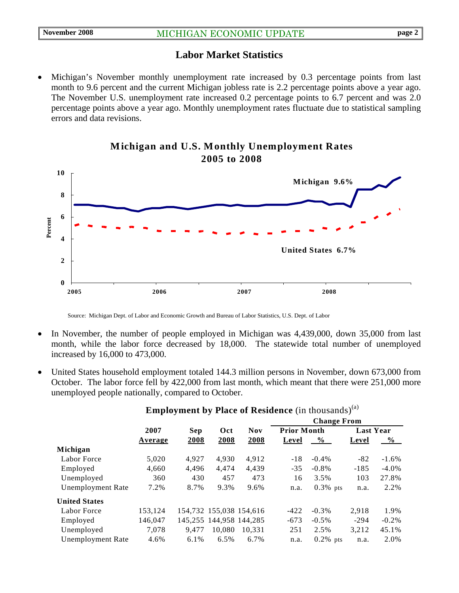## **Labor Market Statistics**

• Michigan's November monthly unemployment rate increased by 0.3 percentage points from last month to 9.6 percent and the current Michigan jobless rate is 2.2 percentage points above a year ago. The November U.S. unemployment rate increased 0.2 percentage points to 6.7 percent and was 2.0 percentage points above a year ago. Monthly unemployment rates fluctuate due to statistical sampling errors and data revisions.



## **Michigan and U.S. Monthly Unemployment Rates 2005 to 2008**

Source: Michigan Dept. of Labor and Economic Growth and Bureau of Labor Statistics, U.S. Dept. of Labor

- In November, the number of people employed in Michigan was 4,439,000, down 35,000 from last month, while the labor force decreased by 18,000. The statewide total number of unemployed increased by 16,000 to 473,000.
- United States household employment totaled 144.3 million persons in November, down 673,000 from October. The labor force fell by 422,000 from last month, which meant that there were 251,000 more unemployed people nationally, compared to October.

|                          |         |            | $\overline{ }$          |                         |                    |             |                  |               |
|--------------------------|---------|------------|-------------------------|-------------------------|--------------------|-------------|------------------|---------------|
|                          |         |            |                         | <b>Nov</b>              | <b>Change From</b> |             |                  |               |
|                          | 2007    | <b>Sep</b> | Oct                     |                         | <b>Prior Month</b> |             | <b>Last Year</b> |               |
|                          | Average | 2008       | 2008                    | 2008                    | Level              | $\%$        | Level            | $\frac{0}{0}$ |
| Michigan                 |         |            |                         |                         |                    |             |                  |               |
| Labor Force              | 5,020   | 4,927      | 4.930                   | 4,912                   | $-18$              | $-0.4\%$    | $-82$            | $-1.6\%$      |
| Employed                 | 4,660   | 4,496      | 4,474                   | 4,439                   | $-35$              | $-0.8\%$    | $-185$           | $-4.0\%$      |
| Unemployed               | 360     | 430        | 457                     | 473                     | 16                 | 3.5%        | 103              | 27.8%         |
| <b>Unemployment Rate</b> | 7.2%    | 8.7%       | 9.3%                    | 9.6%                    | n.a.               | $0.3\%$ pts | n.a.             | 2.2%          |
| <b>United States</b>     |         |            |                         |                         |                    |             |                  |               |
| Labor Force              | 153,124 |            |                         | 154,732 155,038 154,616 | $-422$             | $-0.3\%$    | 2,918            | 1.9%          |
| Employed                 | 146,047 |            | 145,255 144,958 144,285 |                         | $-673$             | $-0.5\%$    | $-294$           | $-0.2\%$      |
| Unemployed               | 7,078   | 9.477      | 10.080                  | 10.331                  | 251                | 2.5%        | 3,212            | 45.1%         |
| <b>Unemployment Rate</b> | 4.6%    | 6.1%       | $6.5\%$                 | 6.7%                    | n.a.               | $0.2\%$ pts | n.a.             | 2.0%          |
|                          |         |            |                         |                         |                    |             |                  |               |

## **Employment by Place of Residence** (in thousands)<sup>(a)</sup>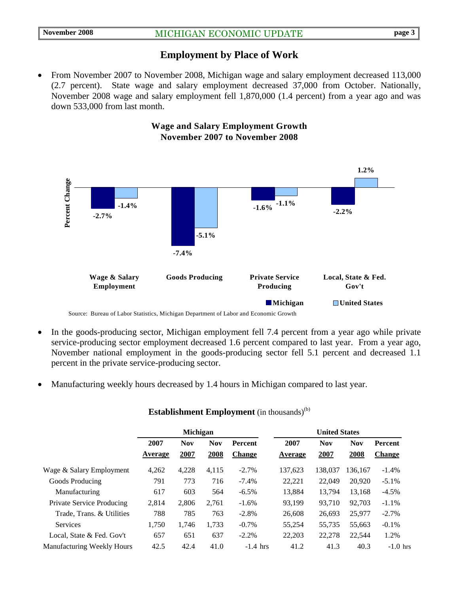## **Employment by Place of Work**

• From November 2007 to November 2008, Michigan wage and salary employment decreased 113,000 (2.7 percent).State wage and salary employment decreased 37,000 from October. Nationally, November 2008 wage and salary employment fell 1,870,000 (1.4 percent) from a year ago and was down 533,000 from last month.



#### **Wage and Salary Employment Growth November 2007 to November 2008**

• In the goods-producing sector, Michigan employment fell 7.4 percent from a year ago while private

- service-producing sector employment decreased 1.6 percent compared to last year. From a year ago, November national employment in the goods-producing sector fell 5.1 percent and decreased 1.1 percent in the private service-producing sector.
- Manufacturing weekly hours decreased by 1.4 hours in Michigan compared to last year.

|                                   | <b>Michigan</b> |                    |                    |                                 | <b>United States</b> |                    |                    |                          |
|-----------------------------------|-----------------|--------------------|--------------------|---------------------------------|----------------------|--------------------|--------------------|--------------------------|
|                                   | 2007<br>Average | <b>Nov</b><br>2007 | <b>Nov</b><br>2008 | <b>Percent</b><br><b>Change</b> | 2007<br>Average      | <b>Nov</b><br>2007 | <b>Nov</b><br>2008 | Percent<br><b>Change</b> |
| Wage & Salary Employment          | 4,262           | 4,228              | 4,115              | $-2.7%$                         | 137,623              | 138,037            | 136,167            | $-1.4%$                  |
| Goods Producing                   | 791             | 773                | 716                | $-7.4%$                         | 22,221               | 22,049             | 20,920             | $-5.1\%$                 |
| Manufacturing                     | 617             | 603                | 564                | $-6.5\%$                        | 13.884               | 13.794             | 13.168             | $-4.5\%$                 |
| <b>Private Service Producing</b>  | 2,814           | 2,806              | 2.761              | $-1.6\%$                        | 93.199               | 93.710             | 92,703             | $-1.1\%$                 |
| Trade, Trans. & Utilities         | 788             | 785                | 763                | $-2.8%$                         | 26,608               | 26,693             | 25,977             | $-2.7\%$                 |
| <b>Services</b>                   | 1,750           | 1,746              | 1,733              | $-0.7\%$                        | 55,254               | 55,735             | 55,663             | $-0.1\%$                 |
| Local, State & Fed. Gov't         | 657             | 651                | 637                | $-2.2%$                         | 22,203               | 22,278             | 22,544             | 1.2%                     |
| <b>Manufacturing Weekly Hours</b> | 42.5            | 42.4               | 41.0               | $-1.4$ hrs                      | 41.2                 | 41.3               | 40.3               | $-1.0$ hrs               |

#### **Establishment Employment** (in thousands)<sup>(b)</sup>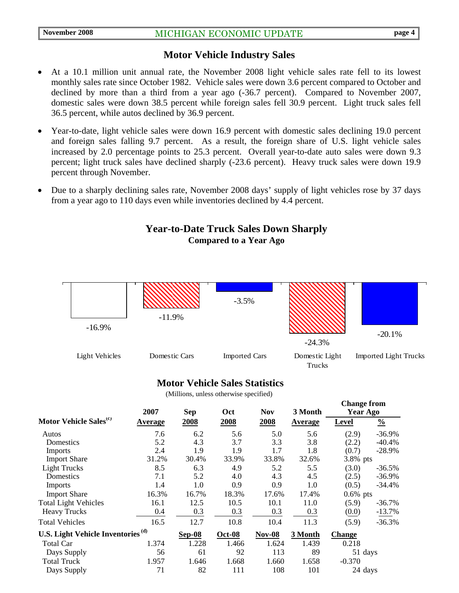## **Motor Vehicle Industry Sales**

- At a 10.1 million unit annual rate, the November 2008 light vehicle sales rate fell to its lowest monthly sales rate since October 1982. Vehicle sales were down 3.6 percent compared to October and declined by more than a third from a year ago (-36.7 percent). Compared to November 2007, domestic sales were down 38.5 percent while foreign sales fell 30.9 percent. Light truck sales fell 36.5 percent, while autos declined by 36.9 percent.
- Year-to-date, light vehicle sales were down 16.9 percent with domestic sales declining 19.0 percent and foreign sales falling 9.7 percent. As a result, the foreign share of U.S. light vehicle sales increased by 2.0 percentage points to 25.3 percent. Overall year-to-date auto sales were down 9.3 percent; light truck sales have declined sharply (-23.6 percent). Heavy truck sales were down 19.9 percent through November.
- Due to a sharply declining sales rate, November 2008 days' supply of light vehicles rose by 37 days from a year ago to 110 days even while inventories declined by 4.4 percent.

## **Year-to-Date Truck Sales Down Sharply Compared to a Year Ago**



#### **Motor Vehicle Sales Statistics**

(Millions, unless otherwise specified)

|                                               | 2007    | <b>Sep</b> | Oct           | <b>Nov</b> | 3 Month | Unange from<br><b>Year Ago</b> |               |
|-----------------------------------------------|---------|------------|---------------|------------|---------|--------------------------------|---------------|
| Motor Vehicle Sales <sup>(c)</sup>            | Average | 2008       | 2008          | 2008       | Average | <b>Level</b>                   | $\frac{0}{0}$ |
| Autos                                         | 7.6     | 6.2        | 5.6           | 5.0        | 5.6     | (2.9)                          | $-36.9%$      |
| Domestics                                     | 5.2     | 4.3        | 3.7           | 3.3        | 3.8     | (2.2)                          | $-40.4%$      |
| Imports                                       | 2.4     | 1.9        | 1.9           | 1.7        | 1.8     | (0.7)                          | $-28.9%$      |
| <b>Import Share</b>                           | 31.2%   | 30.4%      | 33.9%         | 33.8%      | 32.6%   | 3.8% pts                       |               |
| <b>Light Trucks</b>                           | 8.5     | 6.3        | 4.9           | 5.2        | 5.5     | (3.0)                          | $-36.5%$      |
| Domestics                                     | 7.1     | 5.2        | 4.0           | 4.3        | 4.5     | (2.5)                          | $-36.9%$      |
| Imports                                       | 1.4     | 1.0        | 0.9           | 0.9        | 1.0     | (0.5)                          | $-34.4%$      |
| <b>Import Share</b>                           | 16.3%   | 16.7%      | 18.3%         | 17.6%      | 17.4%   | $0.6\%$ pts                    |               |
| <b>Total Light Vehicles</b>                   | 16.1    | 12.5       | 10.5          | 10.1       | 11.0    | (5.9)                          | $-36.7%$      |
| <b>Heavy Trucks</b>                           | 0.4     | 0.3        | 0.3           | 0.3        | 0.3     | (0.0)                          | $-13.7%$      |
| <b>Total Vehicles</b>                         | 16.5    | 12.7       | 10.8          | 10.4       | 11.3    | (5.9)                          | $-36.3%$      |
| U.S. Light Vehicle Inventories <sup>(d)</sup> |         | Sep-08     | <b>Oct-08</b> | $Nov-08$   | 3 Month | Change                         |               |
| Total Car                                     | 1.374   | 1.228      | 1.466         | 1.624      | 1.439   | 0.218                          |               |
| Days Supply                                   | 56      | 61         | 92            | 113        | 89      | 51 days                        |               |
| <b>Total Truck</b>                            | 1.957   | 1.646      | 1.668         | 1.660      | 1.658   | $-0.370$                       |               |
| Days Supply                                   | 71      | 82         | 111           | 108        | 101     | 24 days                        |               |

**Change from**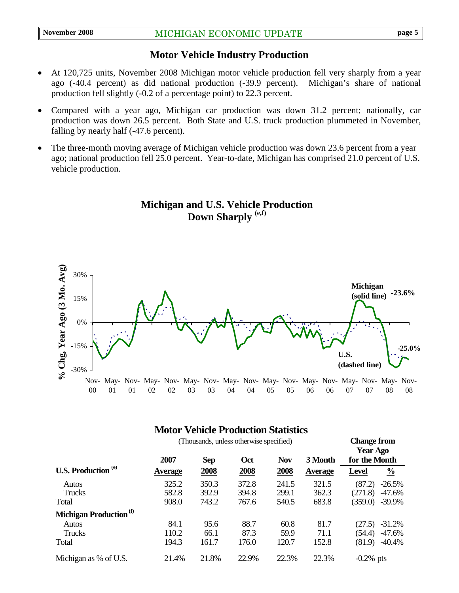## **Motor Vehicle Industry Production**

- At 120,725 units, November 2008 Michigan motor vehicle production fell very sharply from a year ago (-40.4 percent) as did national production (-39.9 percent). Michigan's share of national production fell slightly (-0.2 of a percentage point) to 22.3 percent.
- Compared with a year ago, Michigan car production was down 31.2 percent; nationally, car production was down 26.5 percent. Both State and U.S. truck production plummeted in November, falling by nearly half (-47.6 percent).
- The three-month moving average of Michigan vehicle production was down 23.6 percent from a year ago; national production fell 25.0 percent. Year-to-date, Michigan has comprised 21.0 percent of U.S. vehicle production.

## **Michigan and U.S. Vehicle Production Down Sharply (e,f)**



## **Motor Vehicle Production Statistics**

| (Thousands, unless otherwise specified) |                |            |       |            |                |               | <b>Change from</b><br><b>Year Ago</b> |  |
|-----------------------------------------|----------------|------------|-------|------------|----------------|---------------|---------------------------------------|--|
|                                         | 2007           | <b>Sep</b> | Oct   | <b>Nov</b> | 3 Month        | for the Month |                                       |  |
| U.S. Production <sup>(e)</sup>          | <b>Average</b> | 2008       | 2008  | 2008       | <b>Average</b> | <b>Level</b>  | $\frac{0}{0}$                         |  |
| Autos                                   | 325.2          | 350.3      | 372.8 | 241.5      | 321.5          | (87.2)        | $-26.5%$                              |  |
| Trucks                                  | 582.8          | 392.9      | 394.8 | 299.1      | 362.3          | (271.8)       | $-47.6%$                              |  |
| Total                                   | 908.0          | 743.2      | 767.6 | 540.5      | 683.8          | (359.0)       | $-39.9\%$                             |  |
| Michigan Production <sup>(f)</sup>      |                |            |       |            |                |               |                                       |  |
| <b>Autos</b>                            | 84.1           | 95.6       | 88.7  | 60.8       | 81.7           | (27.5)        | $-31.2%$                              |  |
| Trucks                                  | 110.2          | 66.1       | 87.3  | 59.9       | 71.1           | (54.4)        | $-47.6%$                              |  |
| Total                                   | 194.3          | 161.7      | 176.0 | 120.7      | 152.8          | (81.9)        | $-40.4%$                              |  |
| Michigan as % of U.S.                   | 21.4%          | 21.8%      | 22.9% | 22.3%      | 22.3%          | $-0.2\%$ pts  |                                       |  |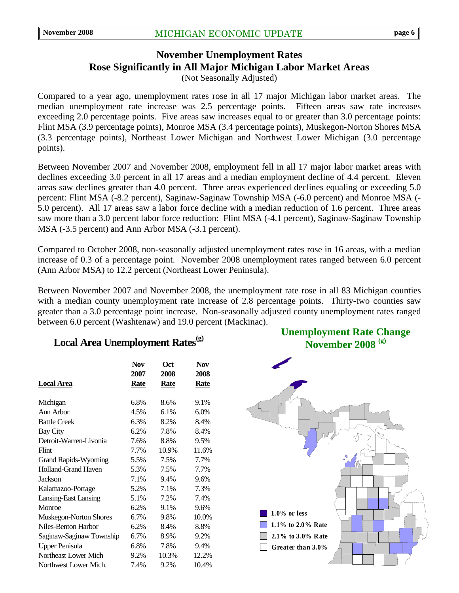# **November Unemployment Rates Rose Significantly in All Major Michigan Labor Market Areas**

(Not Seasonally Adjusted)

Compared to a year ago, unemployment rates rose in all 17 major Michigan labor market areas. The median unemployment rate increase was 2.5 percentage points. Fifteen areas saw rate increases exceeding 2.0 percentage points. Five areas saw increases equal to or greater than 3.0 percentage points: Flint MSA (3.9 percentage points), Monroe MSA (3.4 percentage points), Muskegon-Norton Shores MSA (3.3 percentage points), Northeast Lower Michigan and Northwest Lower Michigan (3.0 percentage points).

Between November 2007 and November 2008, employment fell in all 17 major labor market areas with declines exceeding 3.0 percent in all 17 areas and a median employment decline of 4.4 percent. Eleven areas saw declines greater than 4.0 percent. Three areas experienced declines equaling or exceeding 5.0 percent: Flint MSA (-8.2 percent), Saginaw-Saginaw Township MSA (-6.0 percent) and Monroe MSA (- 5.0 percent). All 17 areas saw a labor force decline with a median reduction of 1.6 percent. Three areas saw more than a 3.0 percent labor force reduction: Flint MSA (-4.1 percent), Saginaw-Saginaw Township MSA (-3.5 percent) and Ann Arbor MSA (-3.1 percent).

Compared to October 2008, non-seasonally adjusted unemployment rates rose in 16 areas, with a median increase of 0.3 of a percentage point. November 2008 unemployment rates ranged between 6.0 percent (Ann Arbor MSA) to 12.2 percent (Northeast Lower Peninsula).

Between November 2007 and November 2008, the unemployment rate rose in all 83 Michigan counties with a median county unemployment rate increase of 2.8 percentage points. Thirty-two counties saw greater than a 3.0 percentage point increase. Non-seasonally adjusted county unemployment rates ranged between 6.0 percent (Washtenaw) and 19.0 percent (Mackinac).

## Local Area Unemployment Rates<sup>(g)</sup>

|                             | <b>Nov</b><br>2007 | Oct<br>2008 | <b>Nov</b><br>2008 |
|-----------------------------|--------------------|-------------|--------------------|
| Local Area                  | Rate               | <b>Rate</b> | <b>Rate</b>        |
| Michigan                    | 6.8%               | 8.6%        | 9.1%               |
| Ann Arbor                   | 4.5%               | 6.1%        | 6.0%               |
| <b>Battle Creek</b>         | 6.3%               | 8.2%        | 8.4%               |
| <b>Bay City</b>             | 6.2%               | 7.8%        | 8.4%               |
| Detroit-Warren-Livonia      | 7.6%               | 8.8%        | 9.5%               |
| Flint                       | 7.7%               | 10.9%       | 11.6%              |
| <b>Grand Rapids-Wyoming</b> | 5.5%               | 7.5%        | 7.7%               |
| <b>Holland-Grand Haven</b>  | 5.3%               | 7.5%        | 7.7%               |
| <b>Jackson</b>              | 7.1%               | 9.4%        | 9.6%               |
| Kalamazoo-Portage           | 5.2%               | 7.1%        | 7.3%               |
| Lansing-East Lansing        | 5.1%               | 7.2%        | 7.4%               |
| Monroe                      | 6.2%               | 9.1%        | 9.6%               |
| Muskegon-Norton Shores      | 6.7%               | 9.8%        | 10.0%              |
| Niles-Benton Harbor         | 6.2%               | 8.4%        | 8.8%               |
| Saginaw-Saginaw Township    | 6.7%               | 8.9%        | 9.2%               |
| <b>Upper Penisula</b>       | 6.8%               | 7.8%        | 9.4%               |
| Northeast Lower Mich        | 9.2%               | 10.3%       | 12.2%              |
| Northwest Lower Mich.       | 7.4%               | 9.2%        | 10.4%              |

**Unemployment Rate Change November 2008 (g)**

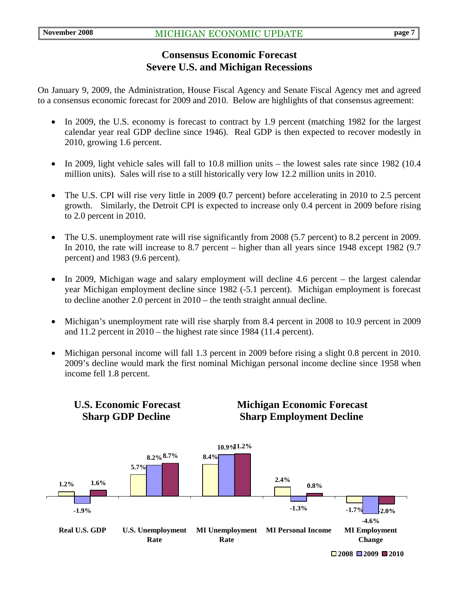## **Consensus Economic Forecast Severe U.S. and Michigan Recessions**

On January 9, 2009, the Administration, House Fiscal Agency and Senate Fiscal Agency met and agreed to a consensus economic forecast for 2009 and 2010. Below are highlights of that consensus agreement:

- In 2009, the U.S. economy is forecast to contract by 1.9 percent (matching 1982 for the largest calendar year real GDP decline since 1946). Real GDP is then expected to recover modestly in 2010, growing 1.6 percent.
- In 2009, light vehicle sales will fall to 10.8 million units the lowest sales rate since 1982 (10.4) million units). Sales will rise to a still historically very low 12.2 million units in 2010.
- The U.S. CPI will rise very little in 2009 **(**0.7 percent) before accelerating in 2010 to 2.5 percent growth. Similarly, the Detroit CPI is expected to increase only 0.4 percent in 2009 before rising to 2.0 percent in 2010.
- The U.S. unemployment rate will rise significantly from 2008 (5.7 percent) to 8.2 percent in 2009. In 2010, the rate will increase to 8.7 percent – higher than all years since 1948 except 1982 (9.7 percent) and 1983 (9.6 percent).
- In 2009, Michigan wage and salary employment will decline 4.6 percent the largest calendar year Michigan employment decline since 1982 (-5.1 percent). Michigan employment is forecast to decline another 2.0 percent in 2010 – the tenth straight annual decline.
- Michigan's unemployment rate will rise sharply from 8.4 percent in 2008 to 10.9 percent in 2009 and 11.2 percent in 2010 – the highest rate since 1984 (11.4 percent).
- Michigan personal income will fall 1.3 percent in 2009 before rising a slight 0.8 percent in 2010. 2009's decline would mark the first nominal Michigan personal income decline since 1958 when income fell 1.8 percent.



 **U.S. Economic Forecast Michigan Economic Forecast**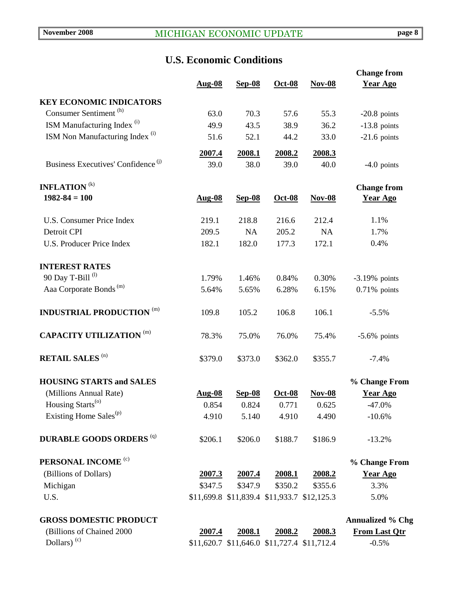## **U.S. Economic Conditions**

|                                                |                |                |                                             |                                             | <b>Change from</b>      |
|------------------------------------------------|----------------|----------------|---------------------------------------------|---------------------------------------------|-------------------------|
|                                                | <b>Aug-08</b>  | $Sep-08$       | Oct-08                                      | $Nov-08$                                    | <b>Year Ago</b>         |
| <b>KEY ECONOMIC INDICATORS</b>                 |                |                |                                             |                                             |                         |
| Consumer Sentiment <sup>(h)</sup>              | 63.0           | 70.3           | 57.6                                        | 55.3                                        | $-20.8$ points          |
| ISM Manufacturing Index <sup>(i)</sup>         | 49.9           | 43.5           | 38.9                                        | 36.2                                        | $-13.8$ points          |
| ISM Non Manufacturing Index <sup>(i)</sup>     | 51.6           | 52.1           | 44.2                                        | 33.0                                        | $-21.6$ points          |
|                                                |                |                |                                             |                                             |                         |
| Business Executives' Confidence <sup>(j)</sup> | 2007.4<br>39.0 | 2008.1<br>38.0 | 2008.2<br>39.0                              | 2008.3<br>40.0                              | $-4.0$ points           |
|                                                |                |                |                                             |                                             |                         |
| <b>INFLATION</b> <sup>(k)</sup>                |                |                |                                             |                                             | <b>Change from</b>      |
| $1982 - 84 = 100$                              | <b>Aug-08</b>  | <b>Sep-08</b>  | Oct-08                                      | $Nov-08$                                    | <b>Year Ago</b>         |
|                                                |                |                |                                             |                                             |                         |
| <b>U.S. Consumer Price Index</b>               | 219.1          | 218.8          | 216.6                                       | 212.4                                       | 1.1%                    |
| Detroit CPI                                    | 209.5          | NA             | 205.2                                       | <b>NA</b>                                   | 1.7%                    |
| <b>U.S. Producer Price Index</b>               | 182.1          | 182.0          | 177.3                                       | 172.1                                       | 0.4%                    |
|                                                |                |                |                                             |                                             |                         |
| <b>INTEREST RATES</b>                          |                |                |                                             |                                             |                         |
| 90 Day T-Bill <sup>(l)</sup>                   | 1.79%          | 1.46%          | 0.84%                                       | 0.30%                                       | $-3.19%$ points         |
| Aaa Corporate Bonds <sup>(m)</sup>             | 5.64%          | 5.65%          | 6.28%                                       | 6.15%                                       | $0.71\%$ points         |
| <b>INDUSTRIAL PRODUCTION (m)</b>               | 109.8          | 105.2          | 106.8                                       | 106.1                                       | $-5.5%$                 |
|                                                |                |                |                                             |                                             |                         |
| <b>CAPACITY UTILIZATION (m)</b>                | 78.3%          | 75.0%          | 76.0%                                       | 75.4%                                       | $-5.6\%$ points         |
| <b>RETAIL SALES (n)</b>                        | \$379.0        |                | \$362.0                                     |                                             |                         |
|                                                |                | \$373.0        |                                             | \$355.7                                     | $-7.4%$                 |
| <b>HOUSING STARTS and SALES</b>                |                |                |                                             |                                             | % Change From           |
| (Millions Annual Rate)                         | <b>Aug-08</b>  | <b>Sep-08</b>  | Oct-08                                      | <b>Nov-08</b>                               | <b>Year Ago</b>         |
| Housing Starts <sup>(o)</sup>                  | 0.854          | 0.824          | 0.771                                       | 0.625                                       | $-47.0\%$               |
| Existing Home Sales <sup>(p)</sup>             | 4.910          | 5.140          | 4.910                                       | 4.490                                       | $-10.6%$                |
|                                                |                |                |                                             |                                             |                         |
| <b>DURABLE GOODS ORDERS (q)</b>                | \$206.1        | \$206.0        | \$188.7                                     | \$186.9                                     | $-13.2%$                |
| PERSONAL INCOME <sup>(c)</sup>                 |                |                |                                             |                                             | % Change From           |
| (Billions of Dollars)                          | 2007.3         | 2007.4         | 2008.1                                      | <u>2008.2</u>                               | <b>Year Ago</b>         |
| Michigan                                       | \$347.5        | \$347.9        | \$350.2                                     | \$355.6                                     | 3.3%                    |
| U.S.                                           |                |                | \$11,699.8 \$11,839.4 \$11,933.7 \$12,125.3 |                                             | 5.0%                    |
|                                                |                |                |                                             |                                             |                         |
| <b>GROSS DOMESTIC PRODUCT</b>                  |                |                |                                             |                                             | <b>Annualized % Chg</b> |
| (Billions of Chained 2000                      | 2007.4         | 2008.1         | 2008.2                                      | 2008.3                                      | <b>From Last Qtr</b>    |
| Dollars) <sup>(c)</sup>                        |                |                |                                             | \$11,620.7 \$11,646.0 \$11,727.4 \$11,712.4 | $-0.5%$                 |